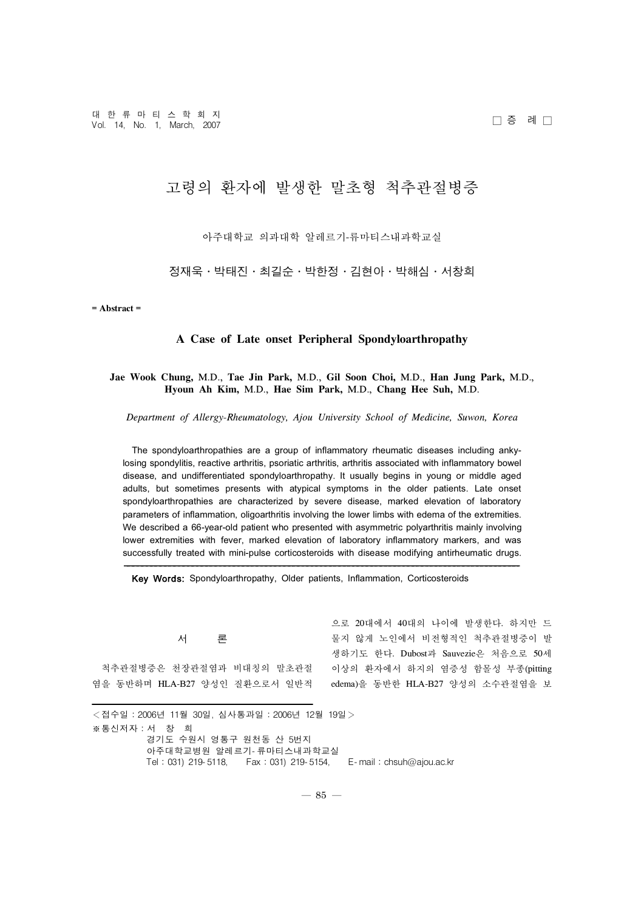# 고령의 환자에 발생한 말초형 척추관절병증

아주대학교 의과대학 알레르기-류마티스내과학교실

정재욱·박태진·최길순·박한정·김현아·박해심·서창희

**= Abstract =**

## **A Case of Late onset Peripheral Spondyloarthropathy**

# **Jae Wook Chung,** M.D., **Tae Jin Park,** M.D., **Gil Soon Choi,** M.D., **Han Jung Park,** M.D., **Hyoun Ah Kim,** M.D., **Hae Sim Park,** M.D., **Chang Hee Suh,** M.D.

*Department of Allergy-Rheumatology, Ajou University School of Medicine, Suwon, Korea*

The spondyloarthropathies are a group of inflammatory rheumatic diseases including ankylosing spondylitis, reactive arthritis, psoriatic arthritis, arthritis associated with inflammatory bowel disease, and undifferentiated spondyloarthropathy. It usually begins in young or middle aged adults, but sometimes presents with atypical symptoms in the older patients. Late onset spondyloarthropathies are characterized by severe disease, marked elevation of laboratory parameters of inflammation, oligoarthritis involving the lower limbs with edema of the extremities. We described a 66-year-old patient who presented with asymmetric polyarthritis mainly involving lower extremities with fever, marked elevation of laboratory inflammatory markers, and was successfully treated with mini-pulse corticosteroids with disease modifying antirheumatic drugs.

Key Words: Spondyloarthropathy, Older patients, Inflammation, Corticosteroids

서 론

척추관절병증은 천장관절염과 비대칭의 말초관절 염을 동반하며 HLA-B27 양성인 질환으로서 일반적

으로 20대에서 40대의 나이에 발생한다. 하지만 드 물지 않게 노인에서 비전형적인 척추관절병증이 발 생하기도 한다. Dubost과 Sauvezie은 처음으로 50세 이상의 환자에서 하지의 염증성 함몰성 부종(pitting edema)을 동반한 HLA-B27 양성의 소수관절염을 보

<접수일:2006년 11월 30일, 심사통과일:2006년 12월 19일> ※통신저자:서 창 희 경기도 수원시 영통구 원천동 산 5번지 아주대학교병원 알레르기- 류마티스내과학교실 Tel:031) 219- 5118, Fax:031) 219- 5154, E- mail:chsuh@ajou.ac.kr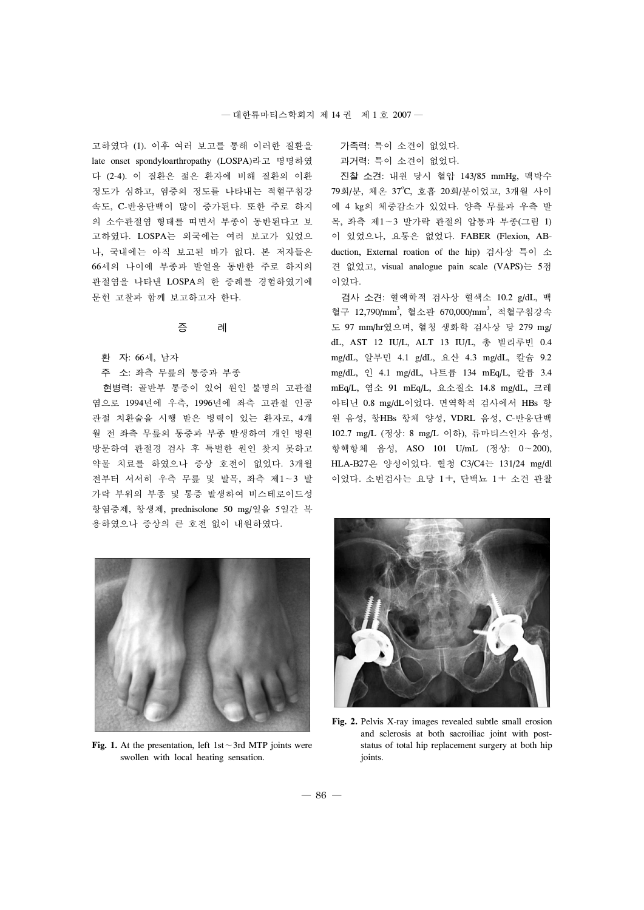고하였다 (1). 이후 여러 보고를 통해 이러한 질환을 late onset spondyloarthropathy (LOSPA)라고 명명하였 다 (2-4). 이 질환은 젊은 환자에 비해 질환의 이환 정도가 심하고, 염증의 정도를 나타내는 적혈구침강 속도, C-반응단백이 많이 증가된다. 또한 주로 하지 의 소수관절염 형태를 띠면서 부종이 동반된다고 보 고하였다. LOSPA는 외국에는 여러 보고가 있었으 나, 국내에는 아직 보고된 바가 없다. 본 저자들은 66세의 나이에 부종과 발열을 동반한 주로 하지의 관절염을 나타낸 LOSPA의 한 증례를 경험하였기에 문헌 고찰과 함께 보고하고자 한다.

## 증 례

- 환 자: 66세, 남자
- 주 소: 좌측 무릎의 통증과 부종

현병력: 골반부 통증이 있어 원인 불명의 고관절 염으로 1994년에 우측, 1996년에 좌측 고관절 인공 관절 치환술을 시행 받은 병력이 있는 환자로, 4개 월 전 좌측 무릎의 통증과 부종 발생하여 개인 병원 방문하여 관절경 검사 후 특별한 원인 찾지 못하고 약물 치료를 하였으나 증상 호전이 없었다. 3개월 전부터 서서히 우측 무릎 및 발목, 좌측 제1∼3 발 가락 부위의 부종 및 통증 발생하여 비스테로이드성 항염증제, 항생제, prednisolone 50 mg/일을 5일간 복 용하였으나 증상의 큰 호전 없이 내원하였다.

가족력: 특이 소견이 없었다.

과거력: 특이 소견이 없었다.

진찰 소견: 내원 당시 혈압 143/85 mmHg, 맥박수 79회/분, 체온 37°C, 호흡 20회/분이었고, 3개월 사이 에 4 kg의 체중감소가 있었다. 양측 무릎과 우측 발 목, 좌측 제1∼3 발가락 관절의 압통과 부종(그림 1) 이 있었으나, 요통은 없었다. FABER (Flexion, ABduction, External roation of the hip) 검사상 특이 소 견 없었고, visual analogue pain scale (VAPS)는 5점 이었다.

검사 소견: 혈액학적 검사상 혈색소 10.2 g/dL, 백 혈구 12,790/mm<sup>3</sup>, 혈소판 670,000/mm<sup>3</sup>, 적혈구침강속 도 97 mm/hr였으며, 혈청 생화학 검사상 당 279 mg/ dL, AST 12 IU/L, ALT 13 IU/L, 총 빌리루빈 0.4 mg/dL, 알부민 4.1 g/dL, 요산 4.3 mg/dL, 칼슘 9.2 mg/dL, 인 4.1 mg/dL, 나트륨 134 mEq/L, 칼륨 3.4 mEq/L, 염소 91 mEq/L, 요소질소 14.8 mg/dL, 크레 아티닌 0.8 mg/dL이었다. 면역학적 검사에서 HBs 항 원 음성, 항HBs 항체 양성, VDRL 음성, C-반응단백 102.7 mg/L (정상: 8 mg/L 이하), 류마티스인자 음성, 항핵항체 음성, ASO 101 U/mL (정상: 0∼200), HLA-B27은 양성이었다. 혈청 C3/C4는 131/24 mg/dl 이었다. 소변검사는 요당 1+, 단백뇨 1+ 소견 관찰



**Fig. 1.** At the presentation, left 1st∼3rd MTP joints were swollen with local heating sensation.



**Fig. 2.** Pelvis X-ray images revealed subtle small erosion and sclerosis at both sacroiliac joint with poststatus of total hip replacement surgery at both hip joints.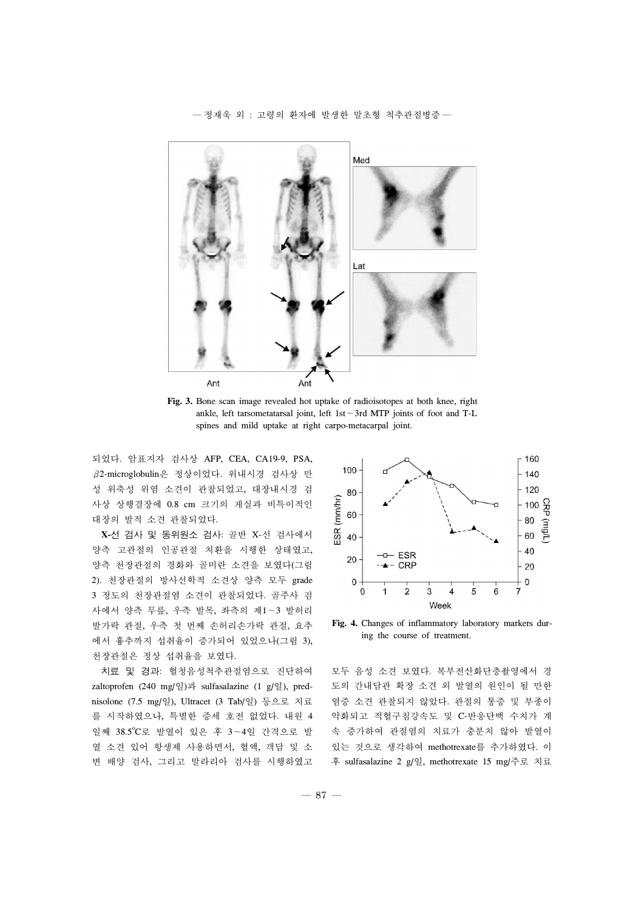

**Fig. 3.** Bone scan image revealed hot uptake of radioisotopes at both knee, right ankle, left tarsometatarsal joint, left 1st∼3rd MTP joints of foot and T-L spines and mild uptake at right carpo-metacarpal joint.

되었다. 암표지자 검사상 AFP, CEA, CA19-9, PSA, β2-microglobulin은 정상이었다. 위내시경 검사상 만 성 위축성 위염 소견이 관찰되었고, 대장내시경 검 사상 상행결장에 0.8 cm 크기의 게실과 비특이적인 대장의 발적 소견 관찰되었다.

**X-**선 검사 및 동위원소 검사: 골반 X-선 검사에서 양측 고관절의 인공관절 치환을 시행한 상태였고, 양측 천장관절의 경화와 골미란 소견을 보였다(그림 2). 천장관절의 방사선학적 소견상 양측 모두 grade 3 정도의 천장관절염 소견이 관찰되었다. 골주사 검 사에서 양측 무릎, 우측 발목, 좌측의 제1∼3 발허리 발가락 관절, 우측 첫 번째 손허리손가락 관절, 요추 에서 흉추까지 섭취율이 증가되어 있었으나(그림 3), 천장관절은 정상 섭취율을 보였다.

치료 및 경과: 혈청음성척추관절염으로 진단하여 zaltoprofen (240 mg/일)과 sulfasalazine (1 g/일), prednisolone (7.5 mg/일), Ultracet (3 Tab/일) 등으로 치료 를 시작하였으나, 특별한 증세 호전 없었다. 내원 4 일째 38.5℃로 발열이 있은 후 3~4일 간격으로 발 열 소견 있어 항생제 사용하면서, 혈액, 객담 및 소 변 배양 검사, 그리고 말라리아 검사를 시행하였고



**Fig. 4.** Changes of inflammatory laboratory markers during the course of treatment.

모두 음성 소견 보였다. 복부전산화단층촬영에서 경 도의 간내담관 확장 소견 외 발열의 원인이 될 만한 염증 소견 관찰되지 않았다. 관절의 통증 및 부종이 악화되고 적혈구침강속도 및 C-반응단백 수치가 계 속 증가하여 관절염의 치료가 충분치 않아 발열이 있는 것으로 생각하여 methotrexate를 추가하였다. 이 후 sulfasalazine 2 g/일, methotrexate 15 mg/주로 치료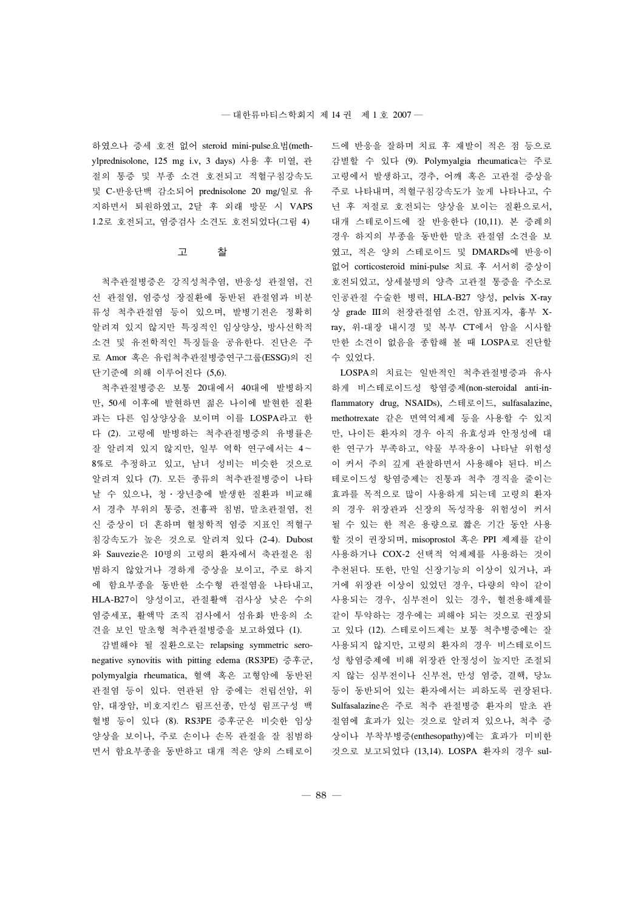하였으나 증세 호전 없어 steroid mini-pulse요법(methylprednisolone, 125 mg i.v, 3 days) 사용 후 미열, 관 절의 통증 및 부종 소견 호전되고 적혈구침강속도 및 C-반응단백 감소되어 prednisolone 20 mg/일로 유 지하면서 퇴원하였고, 2달 후 외래 방문 시 VAPS 1.2로 호전되고, 염증검사 소견도 호전되었다(그림 4)

## 고 찰

척추관절병증은 강직성척추염, 반응성 관절염, 건 선 관절염, 염증성 장질환에 동반된 관절염과 비분 류성 척추관절염 등이 있으며, 발병기전은 정확히 알려져 있지 않지만 특징적인 임상양상, 방사선학적 소견 및 유전학적인 특징들을 공유한다. 진단은 주 로 Amor 혹은 유럽척추관절병증연구그룹(ESSG)의 진 단기준에 의해 이루어진다 (5,6).

척추관절병증은 보통 20대에서 40대에 발병하지 만, 50세 이후에 발현하면 젊은 나이에 발현한 질환 과는 다른 임상양상을 보이며 이를 LOSPA라고 한 다 (2). 고령에 발병하는 척추관절병증의 유병률은 잘 알려져 있지 않지만, 일부 역학 연구에서는 4∼ 8%로 추정하고 있고, 남녀 성비는 비슷한 것으로 알려져 있다 (7). 모든 종류의 척추관절병증이 나타 날 수 있으나, 청·장년층에 발생한 질환과 비교해 서 경추 부위의 통증, 전흉곽 침범, 말초관절염, 전 신 증상이 더 흔하며 혈청학적 염증 지표인 적혈구 침강속도가 높은 것으로 알려져 있다 (2-4). Dubost 와 Sauvezie은 10명의 고령의 환자에서 축관절은 침 범하지 않았거나 경하게 증상을 보이고, 주로 하지 에 함요부종을 동반한 소수형 관절염을 나타내고, HLA-B27이 양성이고, 관절활액 검사상 낮은 수의 염증세포, 활액막 조직 검사에서 섬유화 반응의 소 견을 보인 말초형 척추관절병증을 보고하였다 (1).

감별해야 될 질환으로는 relapsing symmetric seronegative synovitis with pitting edema (RS3PE) 증후군, polymyalgia rheumatica, 혈액 혹은 고형암에 동반된 관절염 등이 있다. 연관된 암 중에는 전립선암, 위 암, 대장암, 비호지킨스 림프선종, 만성 림프구성 백 혈병 등이 있다 (8). RS3PE 증후군은 비슷한 임상 양상을 보이나, 주로 손이나 손목 관절을 잘 침범하 면서 함요부종을 동반하고 대개 적은 양의 스테로이 드에 반응을 잘하며 치료 후 재발이 적은 점 등으로 감별할 수 있다 (9). Polymyalgia rheumatica는 주로 고령에서 발생하고, 경추, 어깨 혹은 고관절 증상을 주로 나타내며, 적혈구침강속도가 높게 나타나고, 수 년 후 저절로 호전되는 양상을 보이는 질환으로서, 대개 스테로이드에 잘 반응한다 (10,11). 본 증례의 경우 하지의 부종을 동반한 말초 관절염 소견을 보 였고, 적은 양의 스테로이드 및 DMARDs에 반응이 없어 corticosteroid mini-pulse 치료 후 서서히 증상이 호전되었고, 상세불명의 양측 고관절 통증을 주소로 인공관절 수술한 병력, HLA-B27 양성, pelvis X-ray 상 grade III의 천장관절염 소견, 암표지자, 흉부 Xray, 위-대장 내시경 및 복부 CT에서 암을 시사할 만한 소견이 없음을 종합해 볼 때 LOSPA로 진단할 수 있었다.

LOSPA의 치료는 일반적인 척추관절병증과 유사 하게 비스테로이드성 항염증제(non-steroidal anti-inflammatory drug, NSAIDs), 스테로이드, sulfasalazine, methotrexate 같은 면역억제제 등을 사용할 수 있지 만, 나이든 환자의 경우 아직 유효성과 안정성에 대 한 연구가 부족하고, 약물 부작용이 나타날 위험성 이 커서 주의 깊게 관찰하면서 사용해야 된다. 비스 테로이드성 항염증제는 진통과 척추 경직을 줄이는 효과를 목적으로 많이 사용하게 되는데 고령의 환자 의 경우 위장관과 신장의 독성작용 위험성이 커서 될 수 있는 한 적은 용량으로 짧은 기간 동안 사용 할 것이 권장되며, misoprostol 혹은 PPI 제제를 같이 사용하거나 COX-2 선택적 억제제를 사용하는 것이 추천된다. 또한, 만일 신장기능의 이상이 있거나, 과 거에 위장관 이상이 있었던 경우, 다량의 약이 같이 사용되는 경우, 심부전이 있는 경우, 혈전용해제를 같이 투약하는 경우에는 피해야 되는 것으로 권장되 고 있다 (12). 스테로이드제는 보통 척추병증에는 잘 사용되지 않지만, 고령의 환자의 경우 비스테로이드 성 항염증제에 비해 위장관 안정성이 높지만 조절되 지 않는 심부전이나 신부전, 만성 염증, 결핵, 당뇨 등이 동반되어 있는 환자에서는 피하도록 권장된다. Sulfasalazine은 주로 척추 관절병증 환자의 말초 관 절염에 효과가 있는 것으로 알려져 있으나, 척추 증 상이나 부착부병증(enthesopathy)에는 효과가 미비한 것으로 보고되었다 (13,14). LOSPA 환자의 경우 sul-

― 88 ―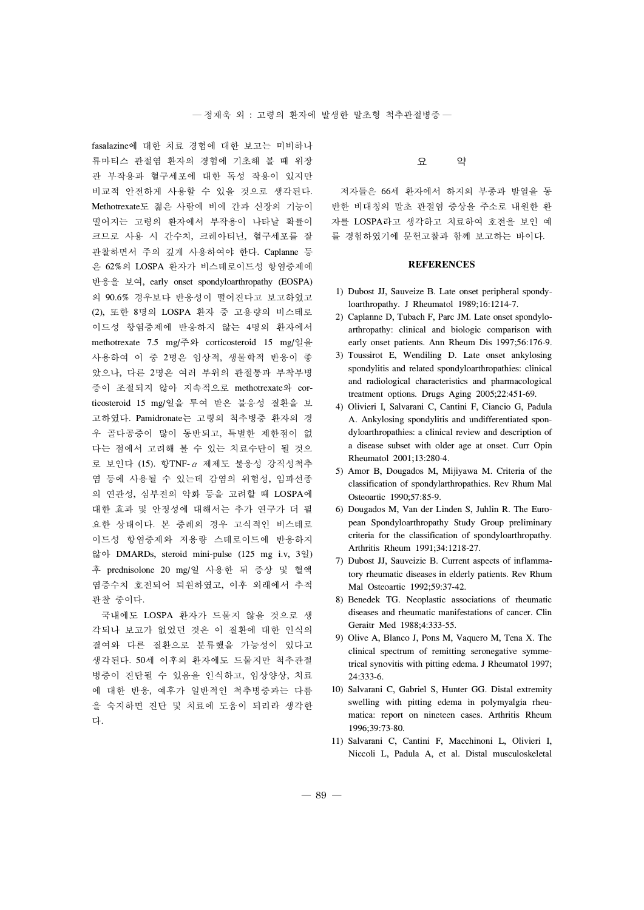fasalazine에 대한 치료 경험에 대한 보고는 미비하나 류마티스 관절염 환자의 경험에 기초해 볼 때 위장 관 부작용과 혈구세포에 대한 독성 작용이 있지만 비교적 안전하게 사용할 수 있을 것으로 생각된다. Methotrexate도 젊은 사람에 비에 간과 신장의 기능이 떨어지는 고령의 환자에서 부작용이 나타날 확률이 크므로 사용 시 간수치, 크레아티닌, 혈구세포를 잘 관찰하면서 주의 깊게 사용하여야 한다. Caplanne 등 은 62%의 LOSPA 환자가 비스테로이드성 항염증제에 반응을 보여, early onset spondyloarthropathy (EOSPA) 의 90.6% 경우보다 반응성이 떨어진다고 보고하였고 (2), 또한 8명의 LOSPA 환자 중 고용량의 비스테로 이드성 항염증제에 반응하지 않는 4명의 환자에서 methotrexate 7.5 mg/주와 corticosteroid 15 mg/일을 사용하여 이 중 2명은 임상적, 생물학적 반응이 좋 았으나, 다른 2명은 여러 부위의 관절통과 부착부병 증이 조절되지 않아 지속적으로 methotrexate와 corticosteroid 15 mg/일을 투여 받은 불응성 질환을 보 고하였다. Pamidronate는 고령의 척추병증 환자의 경 우 골다공증이 많이 동반되고, 특별한 제한점이 없 다는 점에서 고려해 볼 수 있는 치료수단이 될 것으 로 보인다 (15). 항TNF-α 제제도 불응성 강직성척추 염 등에 사용될 수 있는데 감염의 위험성, 임파선종 의 연관성, 심부전의 악화 등을 고려할 때 LOSPA에 대한 효과 및 안정성에 대해서는 추가 연구가 더 필 요한 상태이다. 본 증례의 경우 고식적인 비스테로 이드성 항염증제와 저용량 스테로이드에 반응하지 않아 DMARDs, steroid mini-pulse (125 mg i.v, 3일) 후 prednisolone 20 mg/일 사용한 뒤 증상 및 혈액 염증수치 호전되어 퇴원하였고, 이후 외래에서 추적 관찰 중이다.

국내에도 LOSPA 환자가 드물지 않을 것으로 생 각되나 보고가 없었던 것은 이 질환에 대한 인식의 결여와 다른 질환으로 분류했을 가능성이 있다고 생각된다. 50세 이후의 환자에도 드물지만 척추관절 병증이 진단될 수 있음을 인식하고, 임상양상, 치료 에 대한 반응, 예후가 일반적인 척추병증과는 다름 을 숙지하면 진단 및 치료에 도움이 되리라 생각한 다.

# 요 약

저자들은 66세 환자에서 하지의 부종과 발열을 동 반한 비대칭의 말초 관절염 증상을 주소로 내원한 환 자를 LOSPA라고 생각하고 치료하여 호전을 보인 예 를 경험하였기에 문헌고찰과 함께 보고하는 바이다.

# **REFERENCES**

- 1) Dubost JJ, Sauveize B. Late onset peripheral spondyloarthropathy. J Rheumatol 1989;16:1214-7.
- 2) Caplanne D, Tubach F, Parc JM. Late onset spondyloarthropathy: clinical and biologic comparison with early onset patients. Ann Rheum Dis 1997;56:176-9.
- 3) Toussirot E, Wendiling D. Late onset ankylosing spondylitis and related spondyloarthropathies: clinical and radiological characteristics and pharmacological treatment options. Drugs Aging 2005;22:451-69.
- 4) Olivieri I, Salvarani C, Cantini F, Ciancio G, Padula A. Ankylosing spondylitis and undifferentiated spondyloarthropathies: a clinical review and description of a disease subset with older age at onset. Curr Opin Rheumatol 2001;13:280-4.
- 5) Amor B, Dougados M, Mijiyawa M. Criteria of the classification of spondylarthropathies. Rev Rhum Mal Osteoartic 1990;57:85-9.
- 6) Dougados M, Van der Linden S, Juhlin R. The European Spondyloarthropathy Study Group preliminary criteria for the classification of spondyloarthropathy. Arthritis Rheum 1991;34:1218-27.
- 7) Dubost JJ, Sauveizie B. Current aspects of inflammatory rheumatic diseases in elderly patients. Rev Rhum Mal Osteoartic 1992;59:37-42.
- 8) Benedek TG. Neoplastic associations of rheumatic diseases and rheumatic manifestations of cancer. Clin Geraitr Med 1988;4:333-55.
- 9) Olive A, Blanco J, Pons M, Vaquero M, Tena X. The clinical spectrum of remitting seronegative symmetrical synovitis with pitting edema. J Rheumatol 1997; 24:333-6.
- 10) Salvarani C, Gabriel S, Hunter GG. Distal extremity swelling with pitting edema in polymyalgia rheumatica: report on nineteen cases. Arthritis Rheum 1996;39:73-80.
- 11) Salvarani C, Cantini F, Macchinoni L, Olivieri I, Niccoli L, Padula A, et al. Distal musculoskeletal

 $-89-$